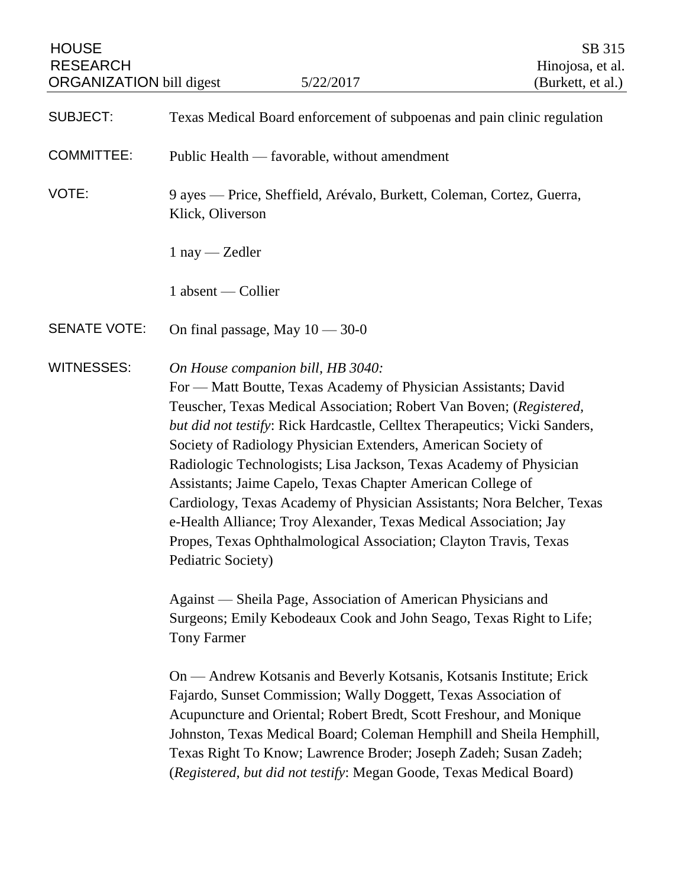| <b>HOUSE</b><br><b>RESEARCH</b><br><b>ORGANIZATION</b> bill digest | 5/22/2017                                                                                                                                                                                                                                                                                                                                                                                                                                                                                                                                                                                                                                                                                                 | SB 315<br>Hinojosa, et al.<br>(Burkett, et al.) |
|--------------------------------------------------------------------|-----------------------------------------------------------------------------------------------------------------------------------------------------------------------------------------------------------------------------------------------------------------------------------------------------------------------------------------------------------------------------------------------------------------------------------------------------------------------------------------------------------------------------------------------------------------------------------------------------------------------------------------------------------------------------------------------------------|-------------------------------------------------|
| <b>SUBJECT:</b>                                                    | Texas Medical Board enforcement of subpoenas and pain clinic regulation                                                                                                                                                                                                                                                                                                                                                                                                                                                                                                                                                                                                                                   |                                                 |
| <b>COMMITTEE:</b>                                                  | Public Health — favorable, without amendment                                                                                                                                                                                                                                                                                                                                                                                                                                                                                                                                                                                                                                                              |                                                 |
| VOTE:                                                              | 9 ayes — Price, Sheffield, Arévalo, Burkett, Coleman, Cortez, Guerra,<br>Klick, Oliverson                                                                                                                                                                                                                                                                                                                                                                                                                                                                                                                                                                                                                 |                                                 |
|                                                                    | $1$ nay — Zedler                                                                                                                                                                                                                                                                                                                                                                                                                                                                                                                                                                                                                                                                                          |                                                 |
|                                                                    | 1 absent — Collier                                                                                                                                                                                                                                                                                                                                                                                                                                                                                                                                                                                                                                                                                        |                                                 |
| <b>SENATE VOTE:</b>                                                | On final passage, May $10 - 30 - 0$                                                                                                                                                                                                                                                                                                                                                                                                                                                                                                                                                                                                                                                                       |                                                 |
| <b>WITNESSES:</b>                                                  | On House companion bill, HB 3040:<br>For — Matt Boutte, Texas Academy of Physician Assistants; David<br>Teuscher, Texas Medical Association; Robert Van Boven; (Registered,<br>but did not testify: Rick Hardcastle, Celltex Therapeutics; Vicki Sanders,<br>Society of Radiology Physician Extenders, American Society of<br>Radiologic Technologists; Lisa Jackson, Texas Academy of Physician<br>Assistants; Jaime Capelo, Texas Chapter American College of<br>Cardiology, Texas Academy of Physician Assistants; Nora Belcher, Texas<br>e-Health Alliance; Troy Alexander, Texas Medical Association; Jay<br>Propes, Texas Ophthalmological Association; Clayton Travis, Texas<br>Pediatric Society) |                                                 |
|                                                                    | Against — Sheila Page, Association of American Physicians and<br>Surgeons; Emily Kebodeaux Cook and John Seago, Texas Right to Life;<br><b>Tony Farmer</b>                                                                                                                                                                                                                                                                                                                                                                                                                                                                                                                                                |                                                 |
|                                                                    | On — Andrew Kotsanis and Beverly Kotsanis, Kotsanis Institute; Erick<br>Fajardo, Sunset Commission; Wally Doggett, Texas Association of<br>Acupuncture and Oriental; Robert Bredt, Scott Freshour, and Monique<br>Johnston, Texas Medical Board; Coleman Hemphill and Sheila Hemphill,<br>Texas Right To Know; Lawrence Broder; Joseph Zadeh; Susan Zadeh;                                                                                                                                                                                                                                                                                                                                                |                                                 |

(*Registered, but did not testify*: Megan Goode, Texas Medical Board)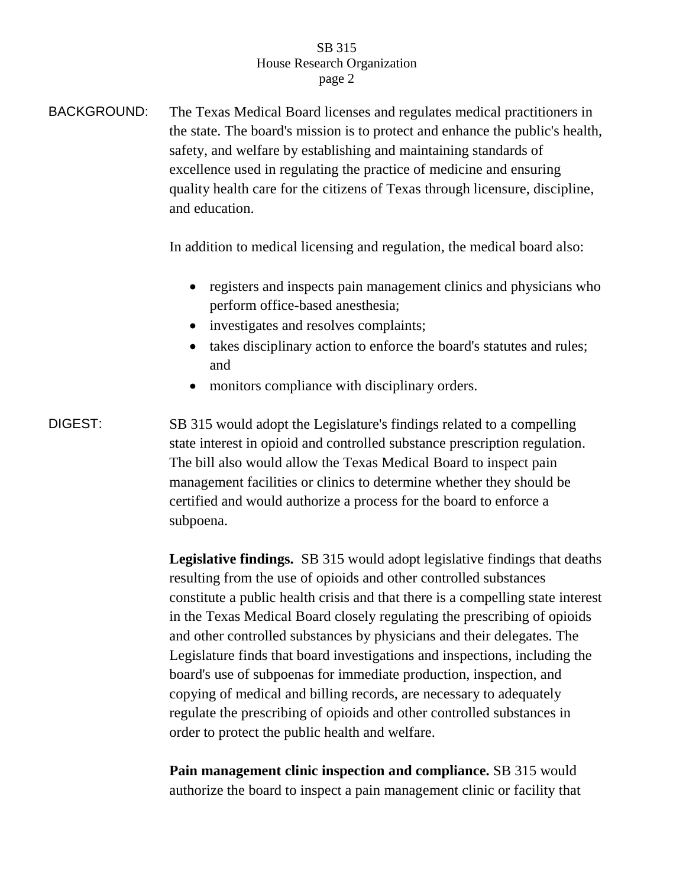## SB 315 House Research Organization page 2

BACKGROUND: The Texas Medical Board licenses and regulates medical practitioners in the state. The board's mission is to protect and enhance the public's health, safety, and welfare by establishing and maintaining standards of excellence used in regulating the practice of medicine and ensuring quality health care for the citizens of Texas through licensure, discipline, and education.

In addition to medical licensing and regulation, the medical board also:

- registers and inspects pain management clinics and physicians who perform office-based anesthesia;
- investigates and resolves complaints;
- takes disciplinary action to enforce the board's statutes and rules; and
- monitors compliance with disciplinary orders.
- DIGEST: SB 315 would adopt the Legislature's findings related to a compelling state interest in opioid and controlled substance prescription regulation. The bill also would allow the Texas Medical Board to inspect pain management facilities or clinics to determine whether they should be certified and would authorize a process for the board to enforce a subpoena.

**Legislative findings.** SB 315 would adopt legislative findings that deaths resulting from the use of opioids and other controlled substances constitute a public health crisis and that there is a compelling state interest in the Texas Medical Board closely regulating the prescribing of opioids and other controlled substances by physicians and their delegates. The Legislature finds that board investigations and inspections, including the board's use of subpoenas for immediate production, inspection, and copying of medical and billing records, are necessary to adequately regulate the prescribing of opioids and other controlled substances in order to protect the public health and welfare.

**Pain management clinic inspection and compliance.** SB 315 would authorize the board to inspect a pain management clinic or facility that